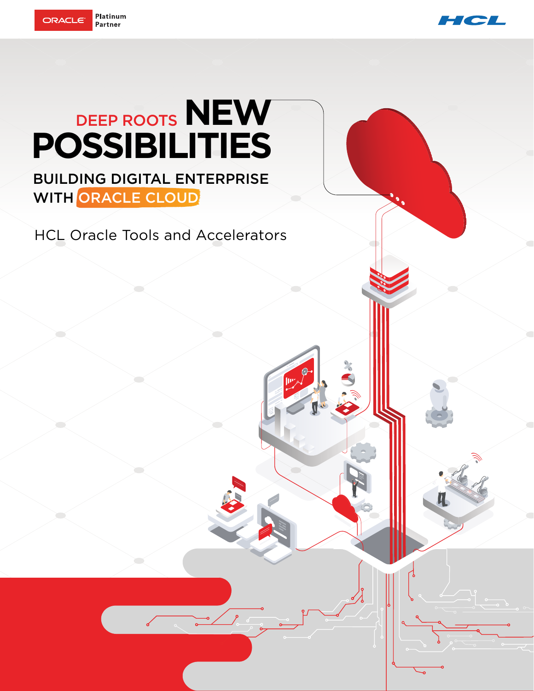



## DEEP ROOTS **NEW POSSIBILITIES**

BUILDING DIGITAL ENTERPRISE WITH ORACLE CLOUD

HCL Oracle Tools and Accelerators